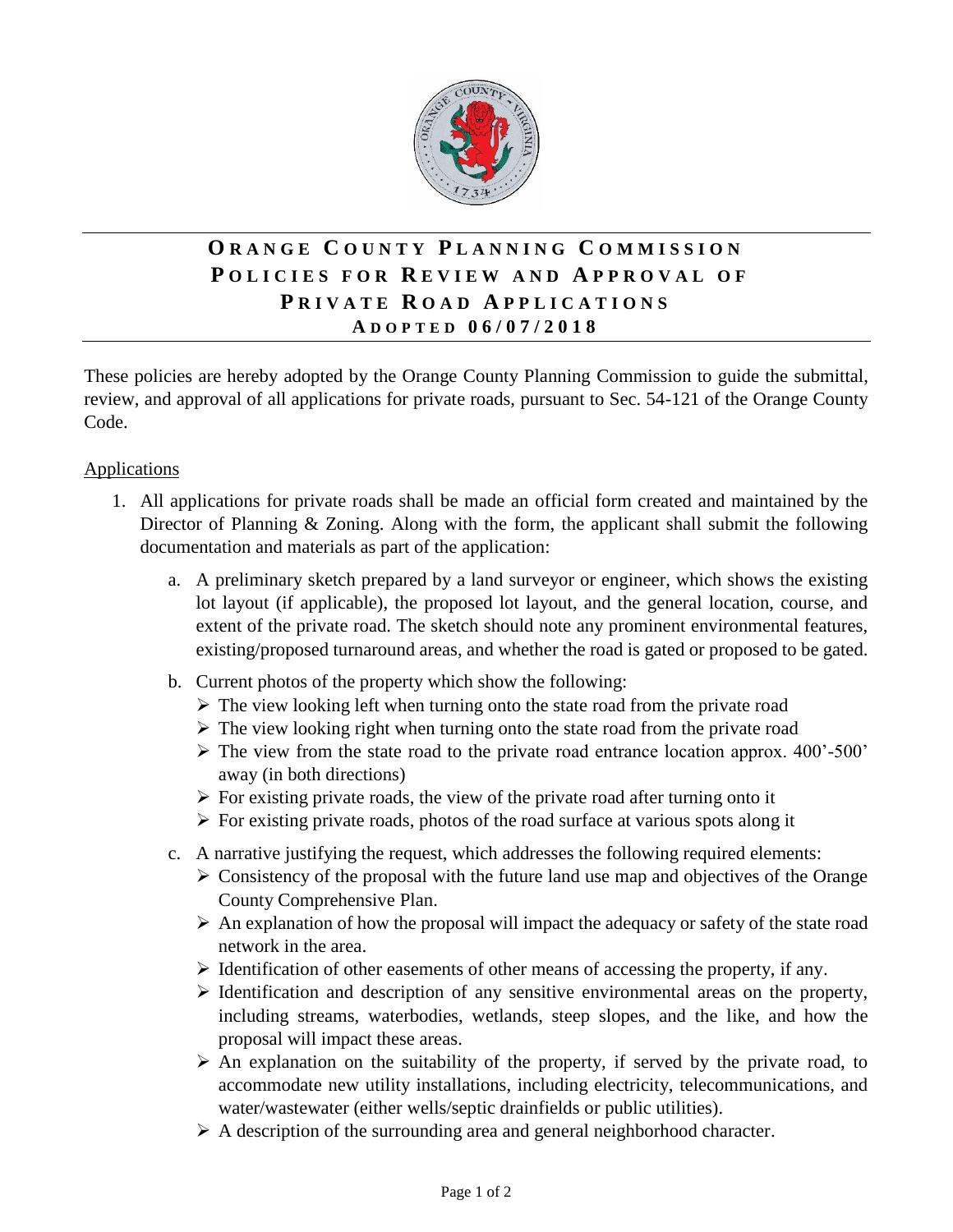

## **O R A N G E C O U N T Y P L A N N I N G C O M M I S S I O N P O L I C I E S F O R R E V I E W A N D A P P R O V A L O F P R I V A T E R O A D A P P L I C A T I O N S A D O P T E D 0 6 / 0 7 / 2 0 1 8**

These policies are hereby adopted by the Orange County Planning Commission to guide the submittal, review, and approval of all applications for private roads, pursuant to Sec. 54-121 of the Orange County Code.

## **Applications**

- 1. All applications for private roads shall be made an official form created and maintained by the Director of Planning & Zoning. Along with the form, the applicant shall submit the following documentation and materials as part of the application:
	- a. A preliminary sketch prepared by a land surveyor or engineer, which shows the existing lot layout (if applicable), the proposed lot layout, and the general location, course, and extent of the private road. The sketch should note any prominent environmental features, existing/proposed turnaround areas, and whether the road is gated or proposed to be gated.
	- b. Current photos of the property which show the following:
		- $\triangleright$  The view looking left when turning onto the state road from the private road
		- $\triangleright$  The view looking right when turning onto the state road from the private road
		- ➢ The view from the state road to the private road entrance location approx. 400'-500' away (in both directions)
		- $\triangleright$  For existing private roads, the view of the private road after turning onto it
		- ➢ For existing private roads, photos of the road surface at various spots along it
	- c. A narrative justifying the request, which addresses the following required elements:
		- $\geq$  Consistency of the proposal with the future land use map and objectives of the Orange County Comprehensive Plan.
		- $\triangleright$  An explanation of how the proposal will impact the adequacy or safety of the state road network in the area.
		- $\triangleright$  Identification of other easements of other means of accessing the property, if any.
		- ➢ Identification and description of any sensitive environmental areas on the property, including streams, waterbodies, wetlands, steep slopes, and the like, and how the proposal will impact these areas.
		- $\triangleright$  An explanation on the suitability of the property, if served by the private road, to accommodate new utility installations, including electricity, telecommunications, and water/wastewater (either wells/septic drainfields or public utilities).
		- ➢ A description of the surrounding area and general neighborhood character.